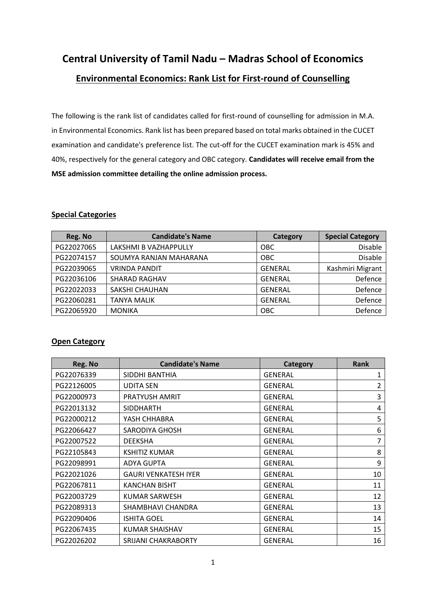# **Central University of Tamil Nadu – Madras School of Economics Environmental Economics: Rank List for First-round of Counselling**

The following is the rank list of candidates called for first-round of counselling for admission in M.A. in Environmental Economics. Rank list has been prepared based on total marks obtained in the CUCET examination and candidate's preference list. The cut-off for the CUCET examination mark is 45% and 40%, respectively for the general category and OBC category. **Candidates will receive email from the MSE admission committee detailing the online admission process.**

#### **Special Categories**

| Reg. No    | <b>Candidate's Name</b> | <b>Category</b> | <b>Special Category</b> |
|------------|-------------------------|-----------------|-------------------------|
| PG22027065 | LAKSHMI B VAZHAPPULLY   | <b>OBC</b>      | <b>Disable</b>          |
| PG22074157 | SOUMYA RANJAN MAHARANA  | OBC             | <b>Disable</b>          |
| PG22039065 | <b>VRINDA PANDIT</b>    | <b>GENERAL</b>  | Kashmiri Migrant        |
| PG22036106 | <b>SHARAD RAGHAV</b>    | <b>GENERAL</b>  | Defence                 |
| PG22022033 | SAKSHI CHAUHAN          | <b>GENERAL</b>  | Defence                 |
| PG22060281 | <b>TANYA MALIK</b>      | <b>GENERAL</b>  | Defence                 |
| PG22065920 | <b>MONIKA</b>           | <b>OBC</b>      | Defence                 |

#### **Open Category**

| Reg. No    | <b>Candidate's Name</b>     | <b>Category</b> | <b>Rank</b> |
|------------|-----------------------------|-----------------|-------------|
| PG22076339 | SIDDHI BANTHIA              | <b>GENERAL</b>  | 1           |
| PG22126005 | <b>UDITA SEN</b>            | <b>GENERAL</b>  | 2           |
| PG22000973 | PRATYUSH AMRIT              | <b>GENERAL</b>  | 3           |
| PG22013132 | <b>SIDDHARTH</b>            | <b>GENERAL</b>  | 4           |
| PG22000212 | YASH CHHABRA                | <b>GENERAL</b>  | 5           |
| PG22066427 | SARODIYA GHOSH              | <b>GENERAL</b>  | 6           |
| PG22007522 | <b>DEEKSHA</b>              | <b>GENERAL</b>  | 7           |
| PG22105843 | <b>KSHITIZ KUMAR</b>        | <b>GENERAL</b>  | 8           |
| PG22098991 | <b>ADYA GUPTA</b>           | <b>GENERAL</b>  | 9           |
| PG22021026 | <b>GAURI VENKATESH IYER</b> | <b>GENERAL</b>  | 10          |
| PG22067811 | <b>KANCHAN BISHT</b>        | <b>GENERAL</b>  | 11          |
| PG22003729 | KUMAR SARWESH               | <b>GENERAL</b>  | 12          |
| PG22089313 | SHAMBHAVI CHANDRA           | <b>GENERAL</b>  | 13          |
| PG22090406 | <b>ISHITA GOEL</b>          | <b>GENERAL</b>  | 14          |
| PG22067435 | KUMAR SHAISHAV              | <b>GENERAL</b>  | 15          |
| PG22026202 | <b>SRIJANI CHAKRABORTY</b>  | <b>GENERAL</b>  | 16          |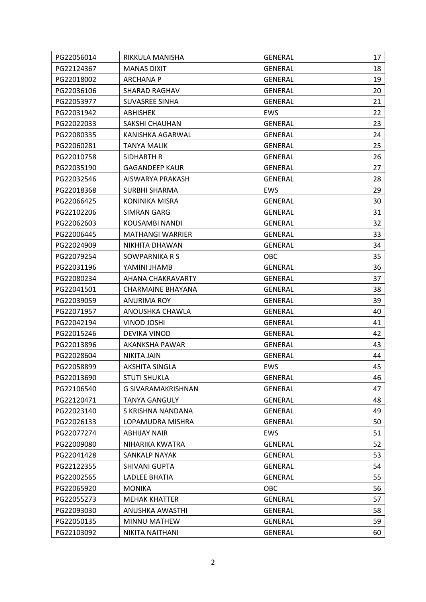| PG22056014 | RIKKULA MANISHA         | <b>GENERAL</b> | 17 |
|------------|-------------------------|----------------|----|
| PG22124367 | <b>MANAS DIXIT</b>      | <b>GENERAL</b> | 18 |
| PG22018002 | <b>ARCHANA P</b>        | <b>GENERAL</b> | 19 |
| PG22036106 | SHARAD RAGHAV           | GENERAL        | 20 |
| PG22053977 | <b>SUVASREE SINHA</b>   | <b>GENERAL</b> | 21 |
| PG22031942 | <b>ABHISHEK</b>         | EWS            | 22 |
| PG22022033 | <b>SAKSHI CHAUHAN</b>   | <b>GENERAL</b> | 23 |
| PG22080335 | KANISHKA AGARWAL        | <b>GENERAL</b> | 24 |
| PG22060281 | <b>TANYA MALIK</b>      | <b>GENERAL</b> | 25 |
| PG22010758 | SIDHARTH R              | <b>GENERAL</b> | 26 |
| PG22035190 | <b>GAGANDEEP KAUR</b>   | GENERAL        | 27 |
| PG22032546 | AISWARYA PRAKASH        | <b>GENERAL</b> | 28 |
| PG22018368 | SURBHI SHARMA           | <b>EWS</b>     | 29 |
| PG22066425 | KONINIKA MISRA          | <b>GENERAL</b> | 30 |
| PG22102206 | <b>SIMRAN GARG</b>      | GENERAL        | 31 |
| PG22062603 | KOUSAMBI NANDI          | <b>GENERAL</b> | 32 |
| PG22006445 | <b>MATHANGI WARRIER</b> | <b>GENERAL</b> | 33 |
| PG22024909 | NIKHITA DHAWAN          | GENERAL        | 34 |
| PG22079254 | SOWPARNIKA R S          | <b>OBC</b>     | 35 |
| PG22031196 | YAMINI JHAMB            | <b>GENERAL</b> | 36 |
| PG22080234 | AHANA CHAKRAVARTY       | GENERAL        | 37 |
| PG22041501 | CHARMAINE BHAYANA       | GENERAL        | 38 |
| PG22039059 | <b>ANURIMA ROY</b>      | <b>GENERAL</b> | 39 |
| PG22071957 | ANOUSHKA CHAWLA         | <b>GENERAL</b> | 40 |
| PG22042194 | VINOD JOSHI             | GENERAL        | 41 |
| PG22015246 | DEVIKA VINOD            | <b>GENERAL</b> | 42 |
| PG22013896 | AKANKSHA PAWAR          | <b>GENERAL</b> | 43 |
| PG22028604 | <b>NIKITA JAIN</b>      | <b>GENERAL</b> | 44 |
| PG22058899 | <b>AKSHITA SINGLA</b>   | EWS            | 45 |
| PG22013690 | <b>STUTI SHUKLA</b>     | <b>GENERAL</b> | 46 |
| PG22106540 | G SIVARAMAKRISHNAN      | <b>GENERAL</b> | 47 |
| PG22120471 | <b>TANYA GANGULY</b>    | <b>GENERAL</b> | 48 |
| PG22023140 | S KRISHNA NANDANA       | <b>GENERAL</b> | 49 |
| PG22026133 | LOPAMUDRA MISHRA        | <b>GENERAL</b> | 50 |
| PG22077274 | <b>ABHIJAY NAIR</b>     | EWS            | 51 |
| PG22009080 | NIHARIKA KWATRA         | <b>GENERAL</b> | 52 |
| PG22041428 | <b>SANKALP NAYAK</b>    | GENERAL        | 53 |
| PG22122355 | SHIVANI GUPTA           | <b>GENERAL</b> | 54 |
| PG22002565 | LADLEE BHATIA           | <b>GENERAL</b> | 55 |
| PG22065920 | <b>MONIKA</b>           | OBC            | 56 |
| PG22055273 | <b>MEHAK KHATTER</b>    | <b>GENERAL</b> | 57 |
| PG22093030 | ANUSHKA AWASTHI         | <b>GENERAL</b> | 58 |
| PG22050135 | MINNU MATHEW            | <b>GENERAL</b> | 59 |
| PG22103092 | NIKITA NAITHANI         | <b>GENERAL</b> | 60 |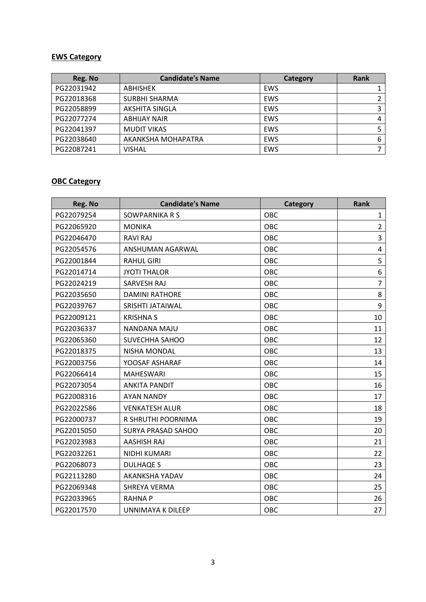### **EWS Category**

| Reg. No    | <b>Candidate's Name</b> | Category   | <b>Rank</b> |
|------------|-------------------------|------------|-------------|
| PG22031942 | <b>ABHISHEK</b>         | EWS        |             |
| PG22018368 | <b>SURBHI SHARMA</b>    | <b>EWS</b> |             |
| PG22058899 | <b>AKSHITA SINGLA</b>   | <b>EWS</b> |             |
| PG22077274 | <b>ABHIJAY NAIR</b>     | <b>EWS</b> |             |
| PG22041397 | <b>MUDIT VIKAS</b>      | <b>EWS</b> |             |
| PG22038640 | AKANKSHA MOHAPATRA      | <b>EWS</b> | 6           |
| PG22087241 | <b>VISHAL</b>           | <b>EWS</b> |             |

## **OBC Category**

| Reg. No    | <b>Candidate's Name</b>   | Category   | <b>Rank</b>    |
|------------|---------------------------|------------|----------------|
| PG22079254 | SOWPARNIKA R S            | OBC        | $\mathbf{1}$   |
| PG22065920 | <b>MONIKA</b>             | OBC        | $\overline{2}$ |
| PG22046470 | <b>RAVI RAJ</b>           | OBC        | 3              |
| PG22054576 | ANSHUMAN AGARWAL          | OBC        | 4              |
| PG22001844 | <b>RAHUL GIRI</b>         | OBC        | 5              |
| PG22014714 | <b>JYOTI THALOR</b>       | OBC        | 6              |
| PG22024219 | <b>SARVESH RAJ</b>        | OBC        | $\overline{7}$ |
| PG22035650 | <b>DAMINI RATHORE</b>     | <b>OBC</b> | 8              |
| PG22039767 | SRISHTI JATAIWAL          | OBC        | 9              |
| PG22009121 | <b>KRISHNA S</b>          | <b>OBC</b> | 10             |
| PG22036337 | NANDANA MAJU              | OBC        | 11             |
| PG22065360 | SUVECHHA SAHOO            | OBC        | 12             |
| PG22018375 | NISHA MONDAL              | OBC        | 13             |
| PG22003756 | YOOSAF ASHARAF            | OBC        | 14             |
| PG22066414 | <b>MAHESWARI</b>          | OBC        | 15             |
| PG22073054 | <b>ANKITA PANDIT</b>      | OBC        | 16             |
| PG22008316 | <b>AYAN NANDY</b>         | OBC        | 17             |
| PG22022586 | <b>VENKATESH ALUR</b>     | OBC        | 18             |
| PG22000737 | R SHRUTHI POORNIMA        | <b>OBC</b> | 19             |
| PG22015050 | <b>SURYA PRASAD SAHOO</b> | OBC        | 20             |
| PG22023983 | <b>AASHISH RAJ</b>        | OBC        | 21             |
| PG22032261 | NIDHI KUMARI              | OBC        | 22             |
| PG22068073 | <b>DULHAQE S</b>          | <b>OBC</b> | 23             |
| PG22113280 | AKANKSHA YADAV            | OBC        | 24             |
| PG22069348 | SHREYA VERMA              | <b>OBC</b> | 25             |
| PG22033965 | <b>RAHNAP</b>             | OBC        | 26             |
| PG22017570 | UNNIMAYA K DILEEP         | OBC        | 27             |